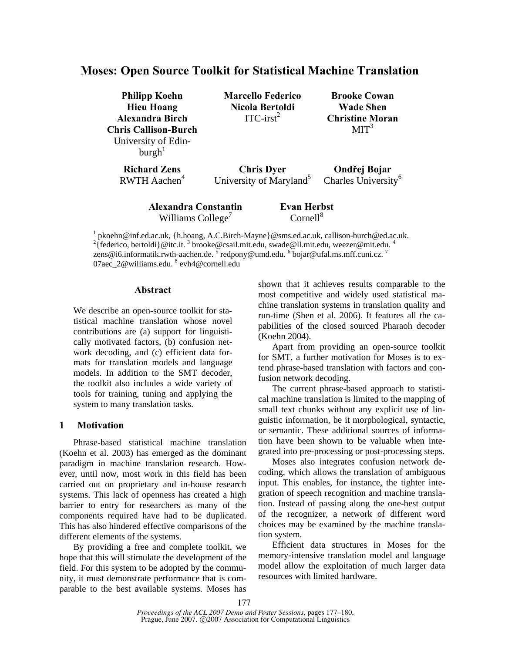# **Moses: Open Source Toolkit for Statistical Machine Translation**

| <b>Philipp Koehn</b><br><b>Hieu Hoang</b><br><b>Alexandra Birch</b><br><b>Chris Callison-Burch</b><br>University of Edin-<br>$\text{burgh}^1$ | <b>Marcello Federico</b><br>Nicola Bertoldi<br>$ITC-irst2$ | <b>Brooke Cowan</b><br><b>Wade Shen</b><br><b>Christine Moran</b><br>MIT <sup>3</sup> |
|-----------------------------------------------------------------------------------------------------------------------------------------------|------------------------------------------------------------|---------------------------------------------------------------------------------------|
| <b>Richard Zens</b>                                                                                                                           | <b>Chris Dyer</b>                                          | Ondřej Bojar                                                                          |
| RWTH Aachen <sup>4</sup>                                                                                                                      | University of Maryland <sup>5</sup>                        | Charles University <sup>6</sup>                                                       |

**Alexandra Constantin**  Williams College<sup> $7$ </sup> **Evan Herbst**   $Cornell<sup>8</sup>$ 

<sup>1</sup> pkoehn@inf.ed.ac.uk, {h.hoang, A.C.Birch-Mayne}@sms.ed.ac.uk, callison-burch@ed.ac.uk.<br><sup>2</sup> federico, berteldi @ite it.<sup>3</sup> brocke@essil mit edu. swede@ll mit edu. weezer@mit edu. <sup>4</sup> {federico, bertoldi}@itc.it. 3 brooke@csail.mit.edu, swade@ll.mit.edu, weezer@mit.edu. <sup>4</sup> zens@i6.informatik.rwth-aachen.de.  $5$  redpony@umd.edu.  $6$  bojar@ufal.ms.mff.cuni.cz.  $7$ 07aec\_2@williams.edu. <sup>8</sup> evh4@cornell.edu

# **Abstract**

We describe an open-source toolkit for statistical machine translation whose novel contributions are (a) support for linguistically motivated factors, (b) confusion network decoding, and (c) efficient data formats for translation models and language models. In addition to the SMT decoder, the toolkit also includes a wide variety of tools for training, tuning and applying the system to many translation tasks.

# **1 Motivation**

Phrase-based statistical machine translation (Koehn et al. 2003) has emerged as the dominant paradigm in machine translation research. However, until now, most work in this field has been carried out on proprietary and in-house research systems. This lack of openness has created a high barrier to entry for researchers as many of the components required have had to be duplicated. This has also hindered effective comparisons of the different elements of the systems.

By providing a free and complete toolkit, we hope that this will stimulate the development of the field. For this system to be adopted by the community, it must demonstrate performance that is comparable to the best available systems. Moses has shown that it achieves results comparable to the most competitive and widely used statistical machine translation systems in translation quality and run-time (Shen et al. 2006). It features all the capabilities of the closed sourced Pharaoh decoder (Koehn 2004).

Apart from providing an open-source toolkit for SMT, a further motivation for Moses is to extend phrase-based translation with factors and confusion network decoding.

The current phrase-based approach to statistical machine translation is limited to the mapping of small text chunks without any explicit use of linguistic information, be it morphological, syntactic, or semantic. These additional sources of information have been shown to be valuable when integrated into pre-processing or post-processing steps.

Moses also integrates confusion network decoding, which allows the translation of ambiguous input. This enables, for instance, the tighter integration of speech recognition and machine translation. Instead of passing along the one-best output of the recognizer, a network of different word choices may be examined by the machine translation system.

Efficient data structures in Moses for the memory-intensive translation model and language model allow the exploitation of much larger data resources with limited hardware.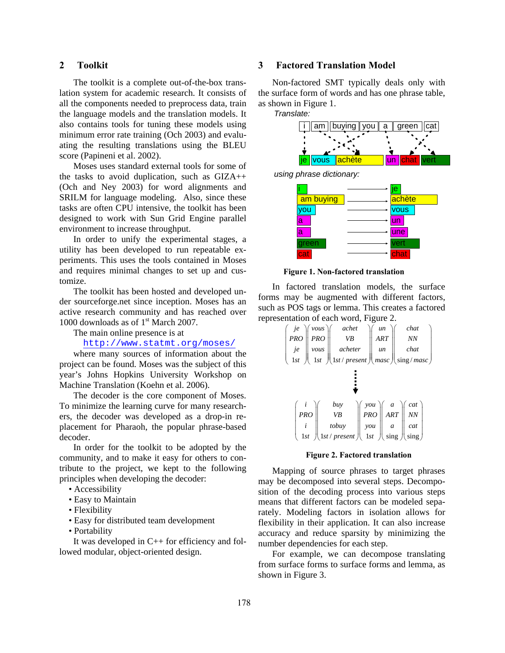# **2 Toolkit**

The toolkit is a complete out-of-the-box translation system for academic research. It consists of all the components needed to preprocess data, train the language models and the translation models. It also contains tools for tuning these models using minimum error rate training (Och 2003) and evaluating the resulting translations using the BLEU score (Papineni et al. 2002).

Moses uses standard external tools for some of the tasks to avoid duplication, such as GIZA++ (Och and Ney 2003) for word alignments and SRILM for language modeling. Also, since these tasks are often CPU intensive, the toolkit has been designed to work with Sun Grid Engine parallel environment to increase throughput.

In order to unify the experimental stages, a utility has been developed to run repeatable experiments. This uses the tools contained in Moses and requires minimal changes to set up and customize.

The toolkit has been hosted and developed under sourceforge.net since inception. Moses has an active research community and has reached over 1000 downloads as of  $1<sup>st</sup>$  March 2007.

The main online presence is at

http://www.statmt.org/moses/

where many sources of information about the project can be found. Moses was the subject of this year's Johns Hopkins University Workshop on Machine Translation (Koehn et al. 2006).

The decoder is the core component of Moses. To minimize the learning curve for many researchers, the decoder was developed as a drop-in replacement for Pharaoh, the popular phrase-based decoder.

In order for the toolkit to be adopted by the community, and to make it easy for others to contribute to the project, we kept to the following principles when developing the decoder:

- Accessibility
- Easy to Maintain
- Flexibility
- Easy for distributed team development
- Portability

It was developed in C++ for efficiency and followed modular, object-oriented design.

# **3 Factored Translation Model**

Non-factored SMT typically deals only with the surface form of words and has one phrase table, as shown in Figure 1.





*using phrase dictionary:*



**Figure 1. Non-factored translation**

In factored translation models, the surface forms may be augmented with different factors, such as POS tags or lemma. This creates a factored representation of each word, Figure 2.

| $\langle \text{vous} \rangle$<br>$\ensuremath{j}\ensuremath{e}\xspace$<br>PRO<br><b>ART</b><br><b>PRO</b><br>VB<br>NN |  |  |  |
|-----------------------------------------------------------------------------------------------------------------------|--|--|--|
| je<br>acheter<br>chat<br>vous<br>un                                                                                   |  |  |  |
| $\left(1st/present\right)$ masc $\left  \right $ sing/masc $\left  \right $<br>1st<br>1st                             |  |  |  |
|                                                                                                                       |  |  |  |
| buy<br>you $\parallel$<br>cat<br>$\mathfrak{a}$                                                                       |  |  |  |
| ART<br><b>PRO</b><br>NN<br><b>PRO</b><br><b>VB</b>                                                                    |  |  |  |
| tobuy<br>you<br>cat<br>a<br>1st / present<br>1st<br>1st<br>sing                                                       |  |  |  |

#### **Figure 2. Factored translation**

Mapping of source phrases to target phrases may be decomposed into several steps. Decomposition of the decoding process into various steps means that different factors can be modeled separately. Modeling factors in isolation allows for flexibility in their application. It can also increase accuracy and reduce sparsity by minimizing the number dependencies for each step.

For example, we can decompose translating from surface forms to surface forms and lemma, as shown in Figure 3.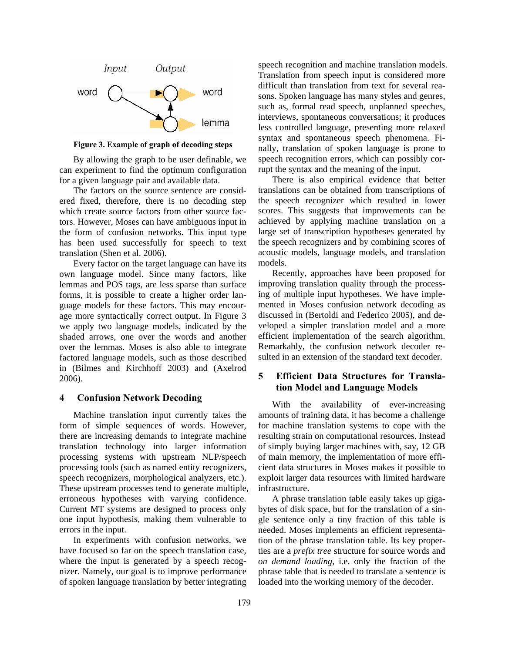

**Figure 3. Example of graph of decoding steps** 

By allowing the graph to be user definable, we can experiment to find the optimum configuration for a given language pair and available data.

The factors on the source sentence are considered fixed, therefore, there is no decoding step which create source factors from other source factors. However, Moses can have ambiguous input in the form of confusion networks. This input type has been used successfully for speech to text translation (Shen et al. 2006).

Every factor on the target language can have its own language model. Since many factors, like lemmas and POS tags, are less sparse than surface forms, it is possible to create a higher order language models for these factors. This may encourage more syntactically correct output. In Figure 3 we apply two language models, indicated by the shaded arrows, one over the words and another over the lemmas. Moses is also able to integrate factored language models, such as those described in (Bilmes and Kirchhoff 2003) and (Axelrod 2006).

### **4 Confusion Network Decoding**

Machine translation input currently takes the form of simple sequences of words. However, there are increasing demands to integrate machine translation technology into larger information processing systems with upstream NLP/speech processing tools (such as named entity recognizers, speech recognizers, morphological analyzers, etc.). These upstream processes tend to generate multiple, erroneous hypotheses with varying confidence. Current MT systems are designed to process only one input hypothesis, making them vulnerable to errors in the input.

In experiments with confusion networks, we have focused so far on the speech translation case, where the input is generated by a speech recognizer. Namely, our goal is to improve performance of spoken language translation by better integrating speech recognition and machine translation models. Translation from speech input is considered more difficult than translation from text for several reasons. Spoken language has many styles and genres, such as, formal read speech, unplanned speeches, interviews, spontaneous conversations; it produces less controlled language, presenting more relaxed syntax and spontaneous speech phenomena. Finally, translation of spoken language is prone to speech recognition errors, which can possibly corrupt the syntax and the meaning of the input.

There is also empirical evidence that better translations can be obtained from transcriptions of the speech recognizer which resulted in lower scores. This suggests that improvements can be achieved by applying machine translation on a large set of transcription hypotheses generated by the speech recognizers and by combining scores of acoustic models, language models, and translation models.

Recently, approaches have been proposed for improving translation quality through the processing of multiple input hypotheses. We have implemented in Moses confusion network decoding as discussed in (Bertoldi and Federico 2005), and developed a simpler translation model and a more efficient implementation of the search algorithm. Remarkably, the confusion network decoder resulted in an extension of the standard text decoder.

# **5 Efficient Data Structures for Translation Model and Language Models**

With the availability of ever-increasing amounts of training data, it has become a challenge for machine translation systems to cope with the resulting strain on computational resources. Instead of simply buying larger machines with, say, 12 GB of main memory, the implementation of more efficient data structures in Moses makes it possible to exploit larger data resources with limited hardware infrastructure.

A phrase translation table easily takes up gigabytes of disk space, but for the translation of a single sentence only a tiny fraction of this table is needed. Moses implements an efficient representation of the phrase translation table. Its key properties are a *prefix tree* structure for source words and *on demand loading*, i.e. only the fraction of the phrase table that is needed to translate a sentence is loaded into the working memory of the decoder.